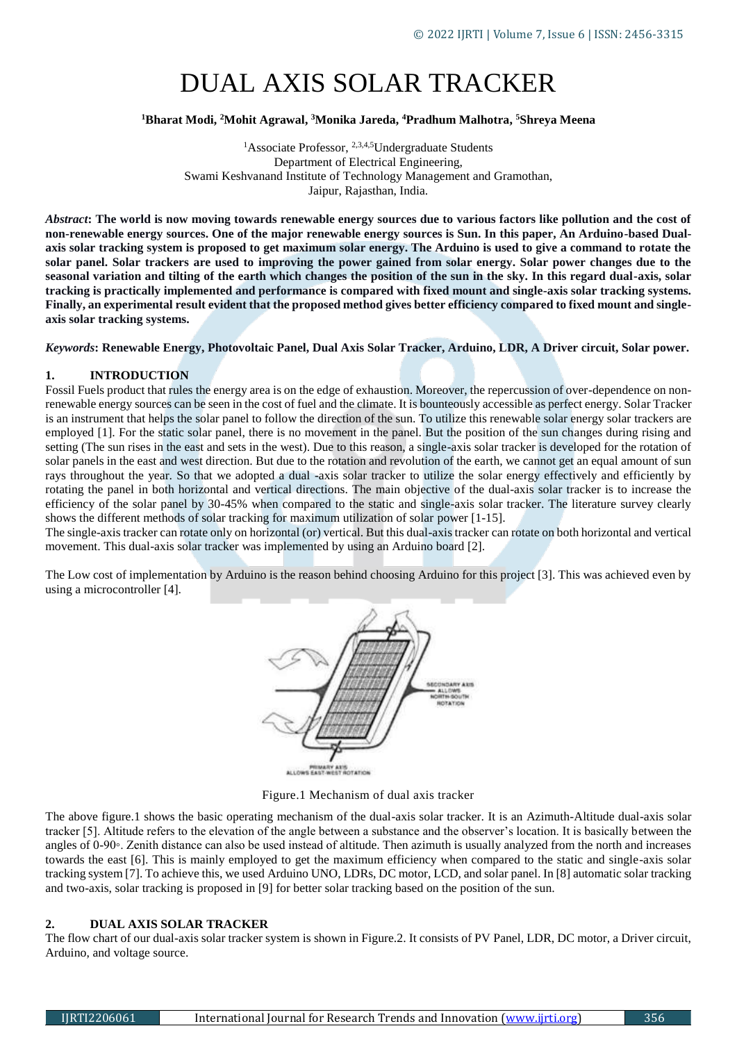# DUAL AXIS SOLAR TRACKER

### **<sup>1</sup>Bharat Modi, <sup>2</sup>Mohit Agrawal, <sup>3</sup>Monika Jareda, <sup>4</sup>Pradhum Malhotra, <sup>5</sup>Shreya Meena**

<sup>1</sup>Associate Professor,  $2,3,4,5$ Undergraduate Students Department of Electrical Engineering, Swami Keshvanand Institute of Technology Management and Gramothan, Jaipur, Rajasthan, India.

*Abstract***: The world is now moving towards renewable energy sources due to various factors like pollution and the cost of non-renewable energy sources. One of the major renewable energy sources is Sun. In this paper, An Arduino-based Dualaxis solar tracking system is proposed to get maximum solar energy. The Arduino is used to give a command to rotate the solar panel. Solar trackers are used to improving the power gained from solar energy. Solar power changes due to the seasonal variation and tilting of the earth which changes the position of the sun in the sky. In this regard dual-axis, solar tracking is practically implemented and performance is compared with fixed mount and single-axis solar tracking systems. Finally, an experimental result evident that the proposed method gives better efficiency compared to fixed mount and singleaxis solar tracking systems.**

*Keywords***: Renewable Energy, Photovoltaic Panel, Dual Axis Solar Tracker, Arduino, LDR, A Driver circuit, Solar power.**

#### **1. INTRODUCTION**

Fossil Fuels product that rules the energy area is on the edge of exhaustion. Moreover, the repercussion of over-dependence on nonrenewable energy sources can be seen in the cost of fuel and the climate. It is bounteously accessible as perfect energy. Solar Tracker is an instrument that helps the solar panel to follow the direction of the sun. To utilize this renewable solar energy solar trackers are employed [1]. For the static solar panel, there is no movement in the panel. But the position of the sun changes during rising and setting (The sun rises in the east and sets in the west). Due to this reason, a single-axis solar tracker is developed for the rotation of solar panels in the east and west direction. But due to the rotation and revolution of the earth, we cannot get an equal amount of sun rays throughout the year. So that we adopted a dual -axis solar tracker to utilize the solar energy effectively and efficiently by rotating the panel in both horizontal and vertical directions. The main objective of the dual-axis solar tracker is to increase the efficiency of the solar panel by 30-45% when compared to the static and single-axis solar tracker. The literature survey clearly shows the different methods of solar tracking for maximum utilization of solar power [1-15].

The single-axis tracker can rotate only on horizontal (or) vertical. But this dual-axis tracker can rotate on both horizontal and vertical movement. This dual-axis solar tracker was implemented by using an Arduino board [2].

The Low cost of implementation by Arduino is the reason behind choosing Arduino for this project [3]. This was achieved even by using a microcontroller [4].



PRIMARY ATIS<br>ALLOWS EAST WEST ROTATION

Figure.1 Mechanism of dual axis tracker

The above figure.1 shows the basic operating mechanism of the dual-axis solar tracker. It is an Azimuth-Altitude dual-axis solar tracker [5]. Altitude refers to the elevation of the angle between a substance and the observer's location. It is basically between the angles of 0-90◦. Zenith distance can also be used instead of altitude. Then azimuth is usually analyzed from the north and increases towards the east [6]. This is mainly employed to get the maximum efficiency when compared to the static and single-axis solar tracking system [7]. To achieve this, we used Arduino UNO, LDRs, DC motor, LCD, and solar panel. In [8] automatic solar tracking and two-axis, solar tracking is proposed in [9] for better solar tracking based on the position of the sun.

#### **2. DUAL AXIS SOLAR TRACKER**

The flow chart of our dual-axis solar tracker system is shown in Figure.2. It consists of PV Panel, LDR, DC motor, a Driver circuit, Arduino, and voltage source.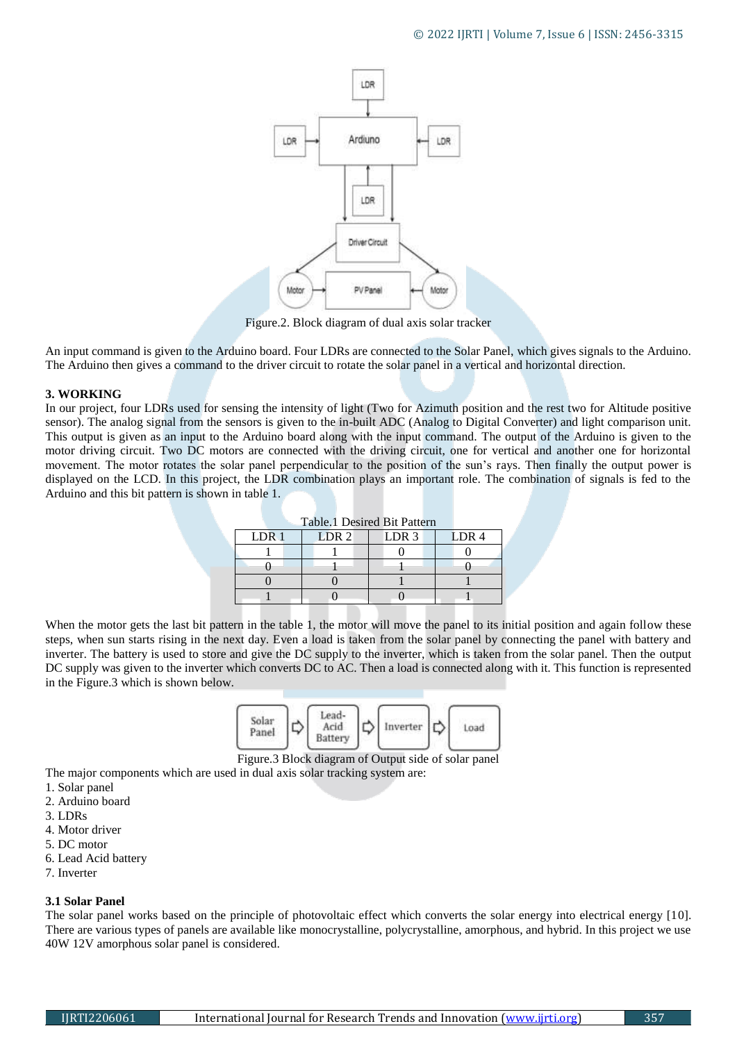

Figure.2. Block diagram of dual axis solar tracker

An input command is given to the Arduino board. Four LDRs are connected to the Solar Panel, which gives signals to the Arduino. The Arduino then gives a command to the driver circuit to rotate the solar panel in a vertical and horizontal direction.

#### **3. WORKING**

In our project, four LDRs used for sensing the intensity of light (Two for Azimuth position and the rest two for Altitude positive sensor). The analog signal from the sensors is given to the in-built ADC (Analog to Digital Converter) and light comparison unit. This output is given as an input to the Arduino board along with the input command. The output of the Arduino is given to the motor driving circuit. Two DC motors are connected with the driving circuit, one for vertical and another one for horizontal movement. The motor rotates the solar panel perpendicular to the position of the sun's rays. Then finally the output power is displayed on the LCD. In this project, the LDR combination plays an important role. The combination of signals is fed to the Arduino and this bit pattern is shown in table 1.

| Table.1 Desired Bit Pattern |                  |                  |                  |  |  |
|-----------------------------|------------------|------------------|------------------|--|--|
| LDR <sub>1</sub>            | LDR <sub>2</sub> | LDR <sub>3</sub> | LDR <sub>4</sub> |  |  |
|                             |                  |                  |                  |  |  |
|                             |                  |                  |                  |  |  |
|                             |                  |                  |                  |  |  |
|                             |                  |                  |                  |  |  |
|                             |                  |                  |                  |  |  |

When the motor gets the last bit pattern in the table 1, the motor will move the panel to its initial position and again follow these steps, when sun starts rising in the next day. Even a load is taken from the solar panel by connecting the panel with battery and inverter. The battery is used to store and give the DC supply to the inverter, which is taken from the solar panel. Then the output DC supply was given to the inverter which converts DC to AC. Then a load is connected along with it. This function is represented in the Figure.3 which is shown below.



Figure.3 Block diagram of Output side of solar panel The major components which are used in dual axis solar tracking system are:

- 
- 1. Solar panel 2. Arduino board
- 3. LDRs
- 
- 4. Motor driver 5. DC motor
- 6. Lead Acid battery
- 7. Inverter

## **3.1 Solar Panel**

The solar panel works based on the principle of photovoltaic effect which converts the solar energy into electrical energy [10]. There are various types of panels are available like monocrystalline, polycrystalline, amorphous, and hybrid. In this project we use 40W 12V amorphous solar panel is considered.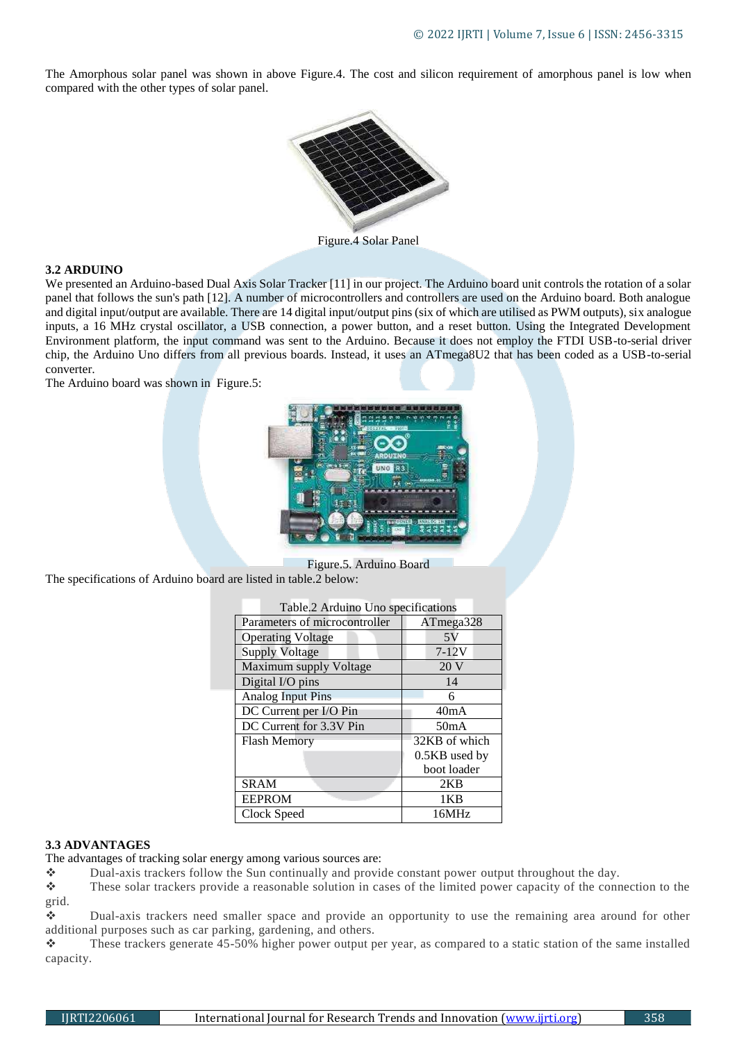The Amorphous solar panel was shown in above Figure.4. The cost and silicon requirement of amorphous panel is low when compared with the other types of solar panel.



#### **3.2 ARDUINO**

We presented an Arduino-based Dual Axis Solar Tracker [11] in our project. The Arduino board unit controls the rotation of a solar panel that follows the sun's path [12]. A number of microcontrollers and controllers are used on the Arduino board. Both analogue and digital input/output are available. There are 14 digital input/output pins (six of which are utilised as PWM outputs), six analogue inputs, a 16 MHz crystal oscillator, a USB connection, a power button, and a reset button. Using the Integrated Development Environment platform, the input command was sent to the Arduino. Because it does not employ the FTDI USB-to-serial driver chip, the Arduino Uno differs from all previous boards. Instead, it uses an ATmega8U2 that has been coded as a USB-to-serial converter.

The Arduino board was shown in Figure.5:



Figure.5. Arduino Board The specifications of Arduino board are listed in table.2 below:

| Table.2 Arduino Uno specifications |               |  |  |  |
|------------------------------------|---------------|--|--|--|
| Parameters of microcontroller      | ATmega328     |  |  |  |
| <b>Operating Voltage</b>           | 5 V           |  |  |  |
| <b>Supply Voltage</b>              | $7-12V$       |  |  |  |
| Maximum supply Voltage             | 20 V          |  |  |  |
| Digital I/O pins                   | 14            |  |  |  |
| <b>Analog Input Pins</b>           | 6             |  |  |  |
| DC Current per I/O Pin             | 40mA          |  |  |  |
| DC Current for 3.3V Pin            | 50mA          |  |  |  |
| <b>Flash Memory</b>                | 32KB of which |  |  |  |
|                                    | 0.5KB used by |  |  |  |
|                                    | boot loader   |  |  |  |
| <b>SRAM</b>                        | 2KB           |  |  |  |
| <b>EEPROM</b>                      | 1KB           |  |  |  |
| Clock Speed                        | 16MHz         |  |  |  |

#### **3.3 ADVANTAGES**

The advantages of tracking solar energy among various sources are:

Dual-axis trackers follow the Sun continually and provide constant power output throughout the day.

\* These solar trackers provide a reasonable solution in cases of the limited power capacity of the connection to the grid.

 Dual-axis trackers need smaller space and provide an opportunity to use the remaining area around for other additional purposes such as car parking, gardening, and others.

 $\cdot$  These trackers generate 45-50% higher power output per year, as compared to a static station of the same installed capacity.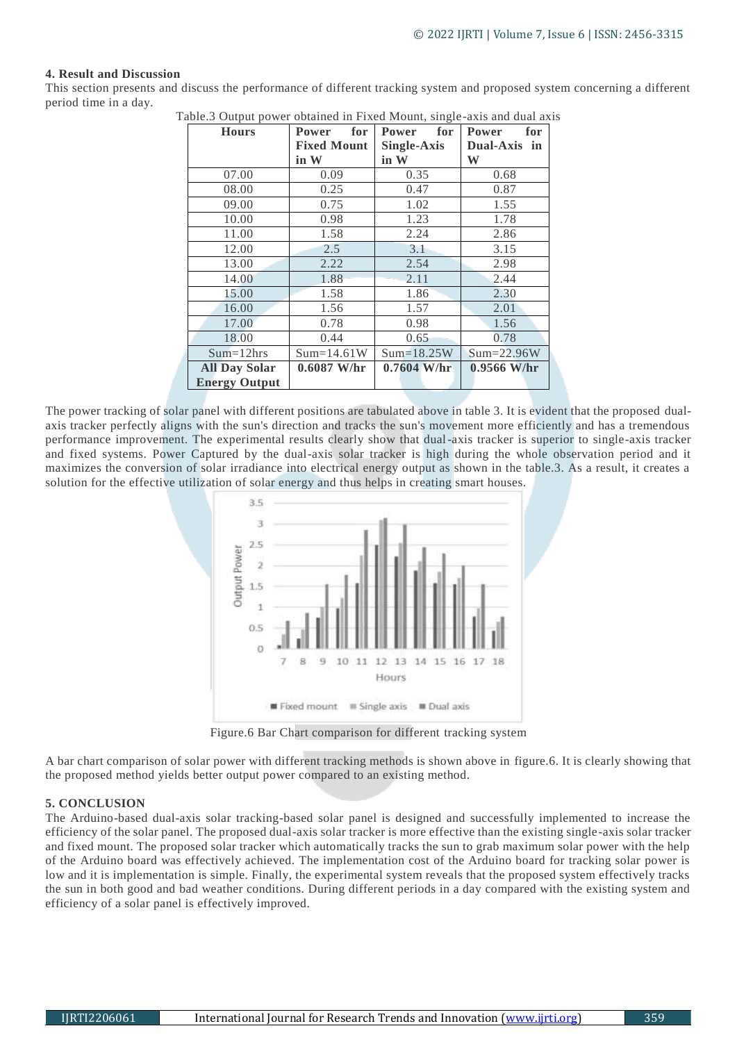#### **4. Result and Discussion**

This section presents and discuss the performance of different tracking system and proposed system concerning a different period time in a day.

| able.5 Output power obtained in Fixed Mount, single-axis and dual axi<br><b>Hours</b> | for<br>Power       | for<br>Power  | <b>Power</b><br>for |
|---------------------------------------------------------------------------------------|--------------------|---------------|---------------------|
|                                                                                       | <b>Fixed Mount</b> | Single-Axis   | Dual-Axis in        |
|                                                                                       | in W               | in W          | W                   |
| 07.00                                                                                 | 0.09               | 0.35          | 0.68                |
| 08.00                                                                                 | 0.25               | 0.47          | 0.87                |
| 09.00                                                                                 | 0.75               | 1.02          | 1.55                |
| 10.00                                                                                 | 0.98               | 1.23          | 1.78                |
| 11.00                                                                                 | 1.58               | 2.24          | 2.86                |
| 12.00                                                                                 | 2.5                | 3.1           | 3.15                |
| 13.00                                                                                 | 2.22               | 2.54          | 2.98                |
| 14.00                                                                                 | 1.88               | 2.11          | 2.44                |
| 15.00                                                                                 | 1.58               | 1.86          | 2.30                |
| 16.00                                                                                 | 1.56               | 1.57          | 2.01                |
| 17.00                                                                                 | 0.78               | 0.98          | 1.56                |
| 18.00                                                                                 | 0.44               | 0.65          | 0.78                |
| $Sum=12hrs$                                                                           | $Sum=14.61W$       | $Sum=18.25W$  | $Sum=22.96W$        |
| <b>All Day Solar</b>                                                                  | $0.6087$ W/hr      | $0.7604$ W/hr | $0.9566$ W/hr       |
| <b>Energy Output</b>                                                                  |                    |               |                     |

Table.3 Output power obtained in Fixed Mount, single-axis and dual axis

The power tracking of solar panel with different positions are tabulated above in table 3. It is evident that the proposed dualaxis tracker perfectly aligns with the sun's direction and tracks the sun's movement more efficiently and has a tremendous performance improvement. The experimental results clearly show that dual-axis tracker is superior to single-axis tracker and fixed systems. Power Captured by the dual-axis solar tracker is high during the whole observation period and it maximizes the conversion of solar irradiance into electrical energy output as shown in the table.3. As a result, it creates a solution for the effective utilization of solar energy and thus helps in creating smart houses.



Figure.6 Bar Chart comparison for different tracking system

A bar chart comparison of solar power with different tracking methods is shown above in figure.6. It is clearly showing that the proposed method yields better output power compared to an existing method.

#### **5. CONCLUSION**

The Arduino-based dual-axis solar tracking-based solar panel is designed and successfully implemented to increase the efficiency of the solar panel. The proposed dual-axis solar tracker is more effective than the existing single-axis solar tracker and fixed mount. The proposed solar tracker which automatically tracks the sun to grab maximum solar power with the help of the Arduino board was effectively achieved. The implementation cost of the Arduino board for tracking solar power is low and it is implementation is simple. Finally, the experimental system reveals that the proposed system effectively tracks the sun in both good and bad weather conditions. During different periods in a day compared with the existing system and efficiency of a solar panel is effectively improved.